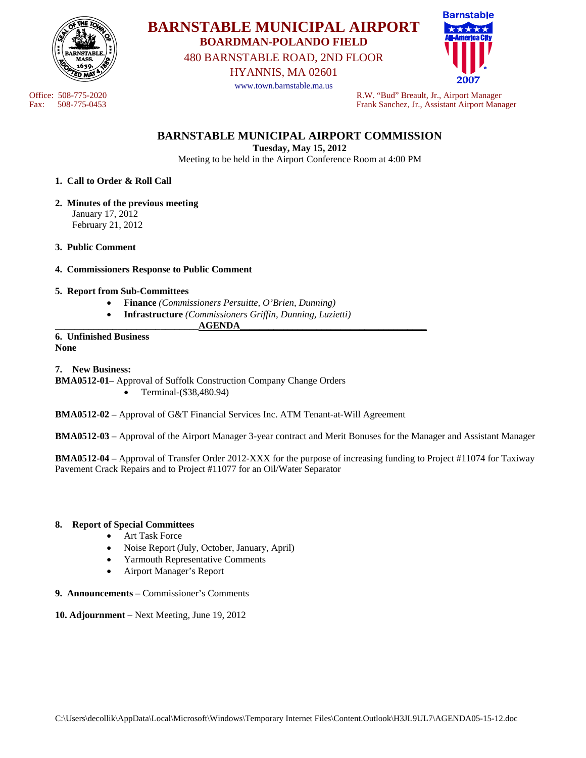

**BARNSTABLE MUNICIPAL AIRPORT BOARDMAN-POLANDO FIELD** 

480 BARNSTABLE ROAD, 2ND FLOOR

HYANNIS, MA 02601

www.town.barnstable.ma.us



Office: 508-775-2020<br>
Fax: 508-775-0453<br>
Frank Sanchez, Jr., Assistant Airport Man Fax: 508-775-0453 Frank Sanchez, Jr., Assistant Airport Manager

# **BARNSTABLE MUNICIPAL AIRPORT COMMISSION**

**Tuesday, May 15, 2012** 

Meeting to be held in the Airport Conference Room at 4:00 PM

## **1. Call to Order & Roll Call**

- **2. Minutes of the previous meeting**  January 17, 2012 February 21, 2012
- **3. Public Comment**
- **4. Commissioners Response to Public Comment**

## **5. Report from Sub-Committees**

- **Finance** *(Commissioners Persuitte, O'Brien, Dunning)*
	- **Infrastructure** *(Commissioners Griffin, Dunning, Luzietti)*

## **\_\_\_\_\_\_\_\_\_\_\_\_\_\_\_\_\_\_\_\_\_\_\_\_\_\_\_\_\_\_AGENDA\_\_\_\_\_\_\_\_\_\_\_\_\_\_\_\_\_\_\_\_\_\_\_\_\_\_\_\_\_\_\_\_\_\_\_\_\_\_\_**

#### **6. Unfinished Business None**

## **7. New Business:**

**BMA0512-01**– Approval of Suffolk Construction Company Change Orders • Terminal-(\$38,480.94)

**BMA0512-02 –** Approval of G&T Financial Services Inc. ATM Tenant-at-Will Agreement

**BMA0512-03 –** Approval of the Airport Manager 3-year contract and Merit Bonuses for the Manager and Assistant Manager

**BMA0512-04 –** Approval of Transfer Order 2012-XXX for the purpose of increasing funding to Project #11074 for Taxiway Pavement Crack Repairs and to Project #11077 for an Oil/Water Separator

#### **8. Report of Special Committees**

- Art Task Force
- Noise Report (July, October, January, April)
- Yarmouth Representative Comments
- Airport Manager's Report
- **9. Announcements** Commissioner's Comments
- **10. Adjournment** Next Meeting, June 19, 2012